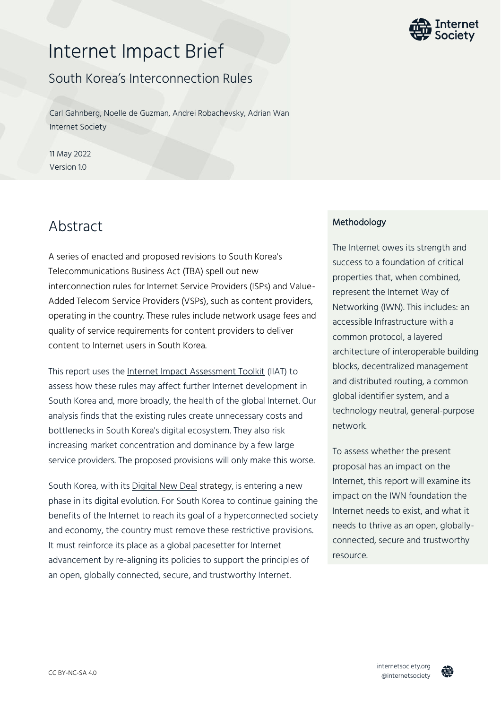# Internet Impact Brief

### South Korea's Interconnection Rules

Carl Gahnberg, Noelle de Guzman, Andrei Robachevsky, Adrian Wan Internet Society

11 May 2022 Version 1.0

### Abstract

A series of enacted and proposed revisions to South Korea's Telecommunications Business Act (TBA) spell out new interconnection rules for Internet Service Providers (ISPs) and Value-Added Telecom Service Providers (VSPs), such as content providers, operating in the country. These rules include network usage fees and quality of service requirements for content providers to deliver content to Internet users in South Korea.

This report uses the [Internet Impact Assessment Toolkit](https://www.internetsociety.org/issues/internet-way-of-networking/internet-impact-assessment-toolkit/) (IIAT) to assess how these rules may affect further Internet development in South Korea and, more broadly, the health of the global Internet. Our analysis finds that the existing rules create unnecessary costs and bottlenecks in South Korea's digital ecosystem. They also risk increasing market concentration and dominance by a few large service providers. The proposed provisions will only make this worse.

South Korea, with it[s Digital New Deal](https://digital.go.kr/front/main/eng.do) strategy, is entering a new phase in its digital evolution. For South Korea to continue gaining the benefits of the Internet to reach its goal of a hyperconnected society and economy, the country must remove these restrictive provisions. It must reinforce its place as a global pacesetter for Internet advancement by re-aligning its policies to support the principles of an open, globally connected, secure, and trustworthy Internet.

### **Methodology**

The Internet owes its strength and success to a foundation of critical properties that, when combined, represent the Internet Way of Networking (IWN). This includes: an accessible Infrastructure with a common protocol, a layered architecture of interoperable building blocks, decentralized management and distributed routing, a common global identifier system, and a technology neutral, general-purpose network.

To assess whether the present proposal has an impact on the Internet, this report will examine its impact on the IWN foundation the Internet needs to exist, and what it needs to thrive as an open, globallyconnected, secure and trustworthy resource.



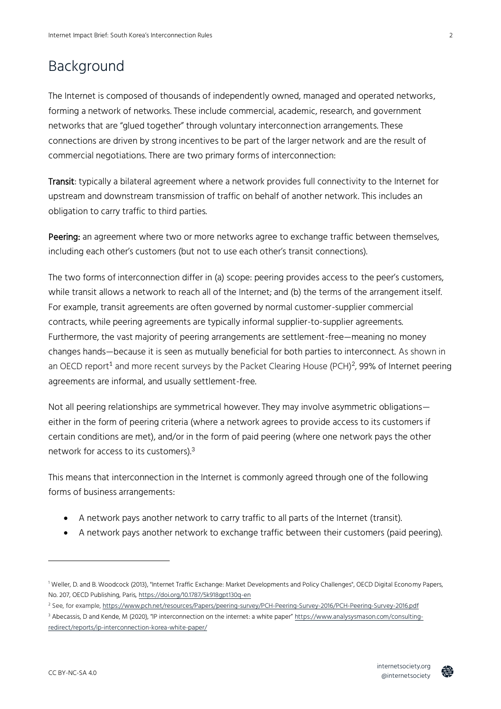## Background

The Internet is composed of thousands of independently owned, managed and operated networks, forming a network of networks. These include commercial, academic, research, and government networks that are "glued together" through voluntary interconnection arrangements. These connections are driven by strong incentives to be part of the larger network and are the result of commercial negotiations. There are two primary forms of interconnection:

Transit: typically a bilateral agreement where a network provides full connectivity to the Internet for upstream and downstream transmission of traffic on behalf of another network. This includes an obligation to carry traffic to third parties.

Peering: an agreement where two or more networks agree to exchange traffic between themselves, including each other's customers (but not to use each other's transit connections).

The two forms of interconnection differ in (a) scope: peering provides access to the peer's customers, while transit allows a network to reach all of the Internet; and (b) the terms of the arrangement itself. For example, transit agreements are often governed by normal customer-supplier commercial contracts, while peering agreements are typically informal supplier-to-supplier agreements. Furthermore, the vast majority of peering arrangements are settlement-free—meaning no money changes hands—because it is seen as mutually beneficial for both parties to interconnect. As shown in an OECD report<sup>1</sup> and more recent surveys by the Packet Clearing House (PCH)<sup>2</sup>, 99% of Internet peering agreements are informal, and usually settlement-free.

Not all peering relationships are symmetrical however. They may involve asymmetric obligations either in the form of peering criteria (where a network agrees to provide access to its customers if certain conditions are met), and/or in the form of paid peering (where one network pays the other network for access to its customers).<sup>3</sup>

This means that interconnection in the Internet is commonly agreed through one of the following forms of business arrangements:

- A network pays another network to carry traffic to all parts of the Internet (transit).
- A network pays another network to exchange traffic between their customers (paid peering).



<sup>1</sup> Weller, D. and B. Woodcock (2013), "Internet Traffic Exchange: Market Developments and Policy Challenges", OECD Digital Economy Papers, No. 207, OECD Publishing, Paris[, https://doi.org/10.1787/5k918gpt130q-en](https://doi.org/10.1787/5k918gpt130q-en)

<sup>2</sup> See, for example,<https://www.pch.net/resources/Papers/peering-survey/PCH-Peering-Survey-2016/PCH-Peering-Survey-2016.pdf>

<sup>&</sup>lt;sup>3</sup> Abecassis, D and Kende, M (2020), "IP interconnection on the internet: a white paper" [https://www.analysysmason.com/consulting](https://www.analysysmason.com/consulting-redirect/reports/ip-interconnection-korea-white-paper/)[redirect/reports/ip-interconnection-korea-white-paper/](https://www.analysysmason.com/consulting-redirect/reports/ip-interconnection-korea-white-paper/)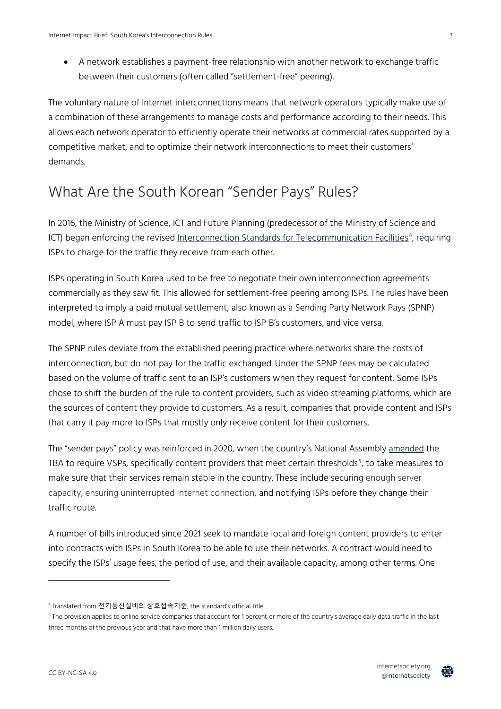• A network establishes a payment-free relationship with another network to exchange traffic between their customers (often called "settlement-free" peering).

The voluntary nature of Internet interconnections means that network operators typically make use of a combination of these arrangements to manage costs and performance according to their needs. This allows each network operator to efficiently operate their networks at commercial rates supported by a competitive market, and to optimize their network interconnections to meet their customers' demands.

## What Are the South Korean "Sender Pays" Rules?

In 2016, the Ministry of Science, ICT and Future Planning (predecessor of the Ministry of Science and ICT) began enforcing the revised <u>Interconnection Standards for Telecommunication Facilities</u><sup>4</sup>, requiring ISPs to charge for the traffic they receive from each other.

ISPs operating in South Korea used to be free to negotiate their own interconnection agreements commercially as they saw fit. This allowed for settlement-free peering among ISPs. The rules have been interpreted to imply a paid mutual settlement, also known as a Sending Party Network Pays (SPNP) model, where ISP A must pay ISP B to send traffic to ISP B's customers, and vice versa.

The SPNP rules deviate from the established peering practice where networks share the costs of interconnection, but do not pay for the traffic exchanged. Under the SPNP fees may be calculated based on the volume of traffic sent to an ISP's customers when they request for content. Some ISPs chose to shift the burden of the rule to content providers, such as video streaming platforms, which are the sources of content they provide to customers. As a result, companies that provide content and ISPs that carry it pay more to ISPs that mostly only receive content for their customers.

The "sender pays" policy was reinforced in 2020, when the country's National Assembly [amended](https://law.go.kr/LSW/lsLinkProc.do?lsNm=%EC%A0%84%EA%B8%B0%ED%86%B5%EC%8B%A0%EC%82%AC%EC%97%85%EB%B2%95&chrClsCd=010202&mode=20) the TBA to require VSPs, specifically content providers that meet certain thresholds<sup>5</sup>, to take measures to make sure that their services remain stable in the country. These include securing enough server capacity, ensuring uninterrupted Internet connection, and notifying ISPs before they change their traffic route.

A number of bills introduced since 2021 seek to mandate local and foreign content providers to enter into contracts with ISPs in South Korea to be able to use their networks. A contract would need to specify the ISPs' usage fees, the period of use, and their available capacity, among other terms. One



<sup>4</sup> Translated from 전기통신설비의 상호접속기준, the standard's official title

 $^5$  The provision applies to online service companies that account for 1 percent or more of the country's average daily data traffic in the last three months of the previous year and that have more than 1 million daily users.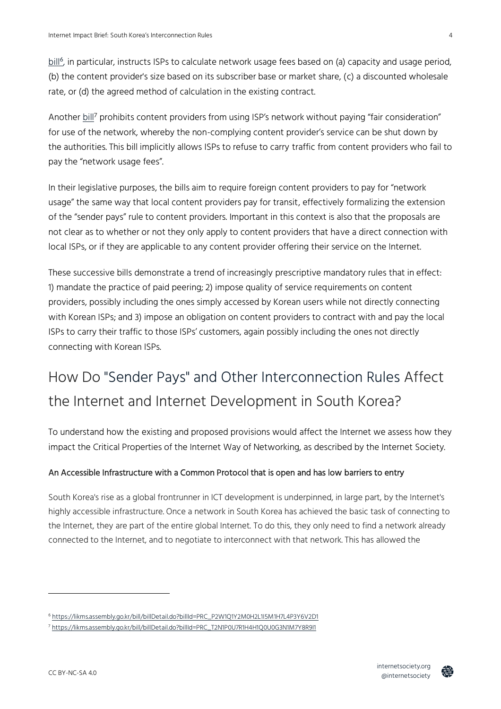[bill](https://likms.assembly.go.kr/bill/billDetail.do?billId=PRC_P2W1Q1Y2M0H2L1I5M1H7L4P3Y6V2D1)<sup>6</sup>, in particular, instructs ISPs to calculate network usage fees based on (a) capacity and usage period, (b) the content provider's size based on its subscriber base or market share, (c) a discounted wholesale rate, or (d) the agreed method of calculation in the existing contract.

Another [bill](https://likms.assembly.go.kr/bill/billDetail.do?billId=PRC_T2N1P0U7R1H4H1Q0U0G3N1M7Y8R9I1)<sup>7</sup> prohibits content providers from using ISP's network without paying "fair consideration" for use of the network, whereby the non-complying content provider's service can be shut down by the authorities. This bill implicitly allows ISPs to refuse to carry traffic from content providers who fail to pay the "network usage fees".

In their legislative purposes, the bills aim to require foreign content providers to pay for "network usage" the same way that local content providers pay for transit, effectively formalizing the extension of the "sender pays" rule to content providers. Important in this context is also that the proposals are not clear as to whether or not they only apply to content providers that have a direct connection with local ISPs, or if they are applicable to any content provider offering their service on the Internet.

These successive bills demonstrate a trend of increasingly prescriptive mandatory rules that in effect: 1) mandate the practice of paid peering; 2) impose quality of service requirements on content providers, possibly including the ones simply accessed by Korean users while not directly connecting with Korean ISPs; and 3) impose an obligation on content providers to contract with and pay the local ISPs to carry their traffic to those ISPs' customers, again possibly including the ones not directly connecting with Korean ISPs.

## How Do "Sender Pays" and Other Interconnection Rules Affect the Internet and Internet Development in South Korea?

To understand how the existing and proposed provisions would affect the Internet we assess how they impact the Critical Properties of the Internet Way of Networking, as described by the Internet Society.

### An Accessible Infrastructure with a Common Protocol that is open and has low barriers to entry

South Korea's rise as a global frontrunner in ICT development is underpinned, in large part, by the Internet's highly accessible infrastructure. Once a network in South Korea has achieved the basic task of connecting to the Internet, they are part of the entire global Internet. To do this, they only need to find a network already connected to the Internet, and to negotiate to interconnect with that network. This has allowed the



<sup>6</sup> [https://likms.assembly.go.kr/bill/billDetail.do?billId=PRC\\_P2W1Q1Y2M0H2L1I5M1H7L4P3Y6V2D1](https://likms.assembly.go.kr/bill/billDetail.do?billId=PRC_P2W1Q1Y2M0H2L1I5M1H7L4P3Y6V2D1)

<sup>7</sup> [https://likms.assembly.go.kr/bill/billDetail.do?billId=PRC\\_T2N1P0U7R1H4H1Q0U0G3N1M7Y8R9I1](https://likms.assembly.go.kr/bill/billDetail.do?billId=PRC_T2N1P0U7R1H4H1Q0U0G3N1M7Y8R9I1)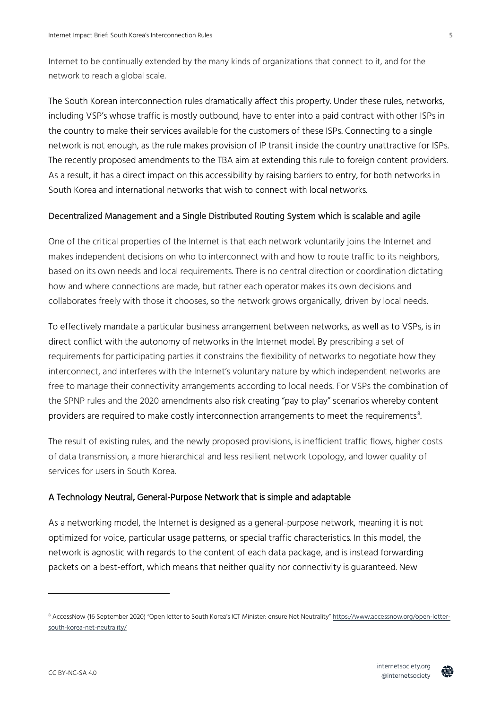Internet to be continually extended by the many kinds of organizations that connect to it, and for the network to reach a global scale.

The South Korean interconnection rules dramatically affect this property. Under these rules, networks, including VSP's whose traffic is mostly outbound, have to enter into a paid contract with other ISPs in the country to make their services available for the customers of these ISPs. Connecting to a single network is not enough, as the rule makes provision of IP transit inside the country unattractive for ISPs. The recently proposed amendments to the TBA aim at extending this rule to foreign content providers. As a result, it has a direct impact on this accessibility by raising barriers to entry, for both networks in South Korea and international networks that wish to connect with local networks.

#### Decentralized Management and a Single Distributed Routing System which is scalable and agile

One of the critical properties of the Internet is that each network voluntarily joins the Internet and makes independent decisions on who to interconnect with and how to route traffic to its neighbors, based on its own needs and local requirements. There is no central direction or coordination dictating how and where connections are made, but rather each operator makes its own decisions and collaborates freely with those it chooses, so the network grows organically, driven by local needs.

To effectively mandate a particular business arrangement between networks, as well as to VSPs, is in direct conflict with the autonomy of networks in the Internet model. By prescribing a set of requirements for participating parties it constrains the flexibility of networks to negotiate how they interconnect, and interferes with the Internet's voluntary nature by which independent networks are free to manage their connectivity arrangements according to local needs. For VSPs the combination of the SPNP rules and the 2020 amendments also risk creating "pay to play" scenarios whereby content providers are required to make costly interconnection arrangements to meet the requirements $^{\rm 8}.$ 

The result of existing rules, and the newly proposed provisions, is inefficient traffic flows, higher costs of data transmission, a more hierarchical and less resilient network topology, and lower quality of services for users in South Korea.

#### A Technology Neutral, General-Purpose Network that is simple and adaptable

As a networking model, the Internet is designed as a general-purpose network, meaning it is not optimized for voice, particular usage patterns, or special traffic characteristics. In this model, the network is agnostic with regards to the content of each data package, and is instead forwarding packets on a best-effort, which means that neither quality nor connectivity is guaranteed. New



<sup>8</sup> AccessNow (16 September 2020) "Open letter to South Korea's ICT Minister: ensure Net Neutrality" [https://www.accessnow.org/open-letter](https://www.accessnow.org/open-letter-south-korea-net-neutrality/)[south-korea-net-neutrality/](https://www.accessnow.org/open-letter-south-korea-net-neutrality/)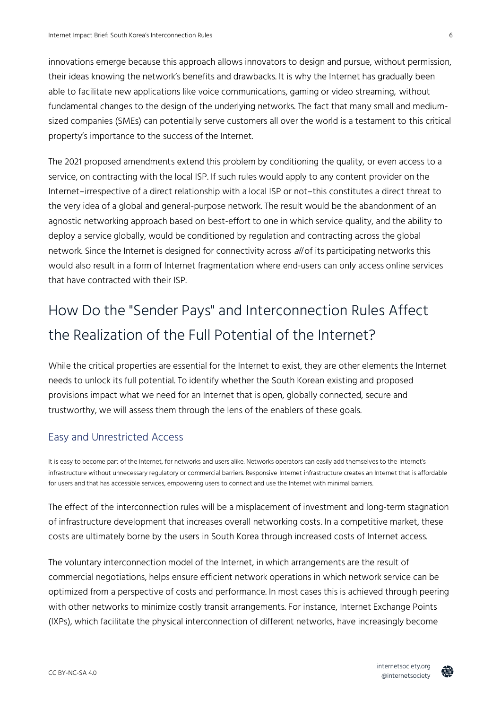innovations emerge because this approach allows innovators to design and pursue, without permission, their ideas knowing the network's benefits and drawbacks. It is why the Internet has gradually been able to facilitate new applications like voice communications, gaming or video streaming, without fundamental changes to the design of the underlying networks. The fact that many small and mediumsized companies (SMEs) can potentially serve customers all over the world is a testament to this critical property's importance to the success of the Internet.

The 2021 proposed amendments extend this problem by conditioning the quality, or even access to a service, on contracting with the local ISP. If such rules would apply to any content provider on the Internet–irrespective of a direct relationship with a local ISP or not–this constitutes a direct threat to the very idea of a global and general-purpose network. The result would be the abandonment of an agnostic networking approach based on best-effort to one in which service quality, and the ability to deploy a service globally, would be conditioned by regulation and contracting across the global network. Since the Internet is designed for connectivity across all of its participating networks this would also result in a form of Internet fragmentation where end-users can only access online services that have contracted with their ISP.

## How Do the "Sender Pays" and Interconnection Rules Affect the Realization of the Full Potential of the Internet?

While the critical properties are essential for the Internet to exist, they are other elements the Internet needs to unlock its full potential. To identify whether the South Korean existing and proposed provisions impact what we need for an Internet that is open, globally connected, secure and trustworthy, we will assess them through the lens of the enablers of these goals.

### Easy and Unrestricted Access

It is easy to become part of the Internet, for networks and users alike. Networks operators can easily add themselves to the Internet's infrastructure without unnecessary regulatory or commercial barriers. Responsive Internet infrastructure creates an Internet that is affordable for users and that has accessible services, empowering users to connect and use the Internet with minimal barriers.

The effect of the interconnection rules will be a misplacement of investment and long-term stagnation of infrastructure development that increases overall networking costs. In a competitive market, these costs are ultimately borne by the users in South Korea through increased costs of Internet access.

The voluntary interconnection model of the Internet, in which arrangements are the result of commercial negotiations, helps ensure efficient network operations in which network service can be optimized from a perspective of costs and performance. In most cases this is achieved through peering with other networks to minimize costly transit arrangements. For instance, Internet Exchange Points (IXPs), which facilitate the physical interconnection of different networks, have increasingly become



6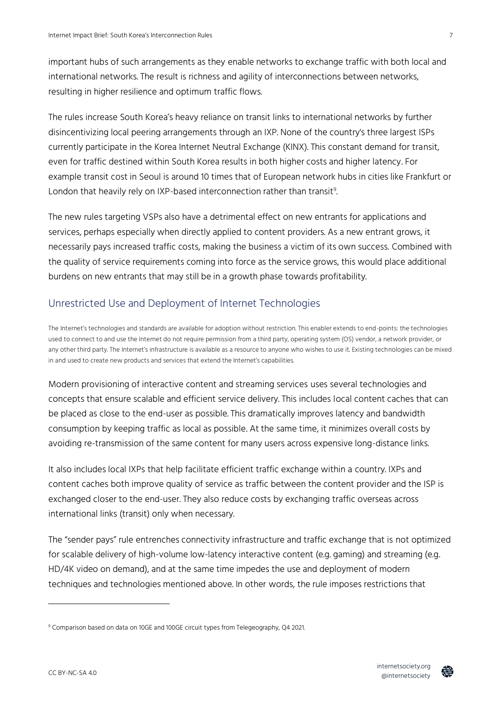important hubs of such arrangements as they enable networks to exchange traffic with both local and international networks. The result is richness and agility of interconnections between networks, resulting in higher resilience and optimum traffic flows.

The rules increase South Korea's heavy reliance on transit links to international networks by further disincentivizing local peering arrangements through an IXP. None of the country's three largest ISPs currently participate in the Korea Internet Neutral Exchange (KINX). This constant demand for transit, even for traffic destined within South Korea results in both higher costs and higher latency. For example transit cost in Seoul is around 10 times that of European network hubs in cities like Frankfurt or London that heavily rely on IXP-based interconnection rather than transit<sup>9</sup>. .

The new rules targeting VSPs also have a detrimental effect on new entrants for applications and services, perhaps especially when directly applied to content providers. As a new entrant grows, it necessarily pays increased traffic costs, making the business a victim of its own success. Combined with the quality of service requirements coming into force as the service grows, this would place additional burdens on new entrants that may still be in a growth phase towards profitability.

### Unrestricted Use and Deployment of Internet Technologies

The Internet's technologies and standards are available for adoption without restriction. This enabler extends to end-points: the technologies used to connect to and use the Internet do not require permission from a third party, operating system (OS) vendor, a network provider, or any other third party. The Internet's infrastructure is available as a resource to anyone who wishes to use it. Existing technologies can be mixed in and used to create new products and services that extend the Internet's capabilities.

Modern provisioning of interactive content and streaming services uses several technologies and concepts that ensure scalable and efficient service delivery. This includes local content caches that can be placed as close to the end-user as possible. This dramatically improves latency and bandwidth consumption by keeping traffic as local as possible. At the same time, it minimizes overall costs by avoiding re-transmission of the same content for many users across expensive long-distance links.

It also includes local IXPs that help facilitate efficient traffic exchange within a country. IXPs and content caches both improve quality of service as traffic between the content provider and the ISP is exchanged closer to the end-user. They also reduce costs by exchanging traffic overseas across international links (transit) only when necessary.

The "sender pays" rule entrenches connectivity infrastructure and traffic exchange that is not optimized for scalable delivery of high-volume low-latency interactive content (e.g. gaming) and streaming (e.g. HD/4K video on demand), and at the same time impedes the use and deployment of modern techniques and technologies mentioned above. In other words, the rule imposes restrictions that



<sup>&</sup>lt;sup>9</sup> Comparison based on data on 10GE and 100GE circuit types from Telegeography, Q4 2021.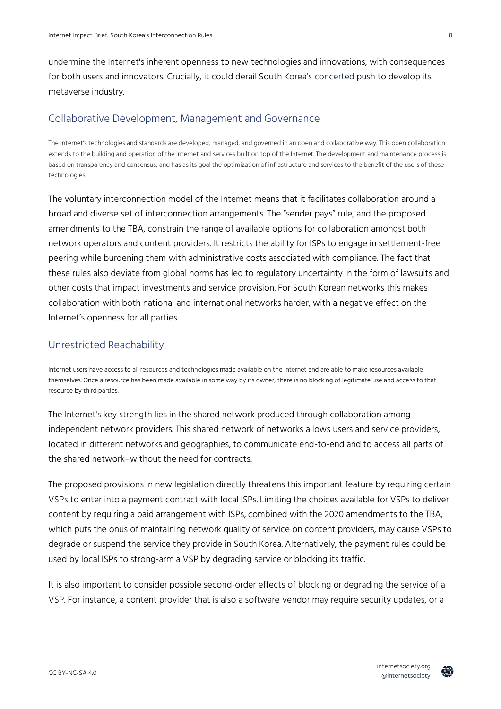undermine the Internet's inherent openness to new technologies and innovations, with consequences for both users and innovators. Crucially, it could derail South Korea's [concerted push](https://thediplomat.com/2021/11/south-koreas-approach-to-the-metaverse/) to develop its metaverse industry.

### Collaborative Development, Management and Governance

The Internet's technologies and standards are developed, managed, and governed in an open and collaborative way. This open collaboration extends to the building and operation of the Internet and services built on top of the Internet. The development and maintenance process is based on transparency and consensus, and has as its goal the optimization of infrastructure and services to the benefit of the users of these technologies.

The voluntary interconnection model of the Internet means that it facilitates collaboration around a broad and diverse set of interconnection arrangements. The "sender pays" rule, and the proposed amendments to the TBA, constrain the range of available options for collaboration amongst both network operators and content providers. It restricts the ability for ISPs to engage in settlement-free peering while burdening them with administrative costs associated with compliance. The fact that these rules also deviate from global norms has led to regulatory uncertainty in the form of lawsuits and other costs that impact investments and service provision. For South Korean networks this makes collaboration with both national and international networks harder, with a negative effect on the Internet's openness for all parties.

### Unrestricted Reachability

Internet users have access to all resources and technologies made available on the Internet and are able to make resources available themselves. Once a resource has been made available in some way by its owner, there is no blocking of legitimate use and access to that resource by third parties.

The Internet's key strength lies in the shared network produced through collaboration among independent network providers. This shared network of networks allows users and service providers, located in different networks and geographies, to communicate end-to-end and to access all parts of the shared network–without the need for contracts.

The proposed provisions in new legislation directly threatens this important feature by requiring certain VSPs to enter into a payment contract with local ISPs. Limiting the choices available for VSPs to deliver content by requiring a paid arrangement with ISPs, combined with the 2020 amendments to the TBA, which puts the onus of maintaining network quality of service on content providers, may cause VSPs to degrade or suspend the service they provide in South Korea. Alternatively, the payment rules could be used by local ISPs to strong-arm a VSP by degrading service or blocking its traffic.

It is also important to consider possible second-order effects of blocking or degrading the service of a VSP. For instance, a content provider that is also a software vendor may require security updates, or a

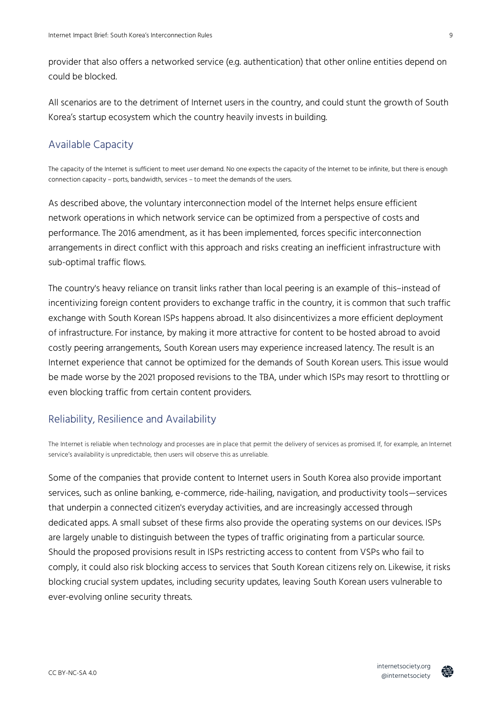provider that also offers a networked service (e.g. authentication) that other online entities depend on could be blocked.

All scenarios are to the detriment of Internet users in the country, and could stunt the growth of South Korea's startup ecosystem which the country heavily invests in building.

### Available Capacity

The capacity of the Internet is sufficient to meet user demand. No one expects the capacity of the Internet to be infinite, but there is enough connection capacity – ports, bandwidth, services – to meet the demands of the users.

As described above, the voluntary interconnection model of the Internet helps ensure efficient network operations in which network service can be optimized from a perspective of costs and performance. The 2016 amendment, as it has been implemented, forces specific interconnection arrangements in direct conflict with this approach and risks creating an inefficient infrastructure with sub-optimal traffic flows.

The country's heavy reliance on transit links rather than local peering is an example of this–instead of incentivizing foreign content providers to exchange traffic in the country, it is common that such traffic exchange with South Korean ISPs happens abroad. It also disincentivizes a more efficient deployment of infrastructure. For instance, by making it more attractive for content to be hosted abroad to avoid costly peering arrangements, South Korean users may experience increased latency. The result is an Internet experience that cannot be optimized for the demands of South Korean users. This issue would be made worse by the 2021 proposed revisions to the TBA, under which ISPs may resort to throttling or even blocking traffic from certain content providers.

### Reliability, Resilience and Availability

The Internet is reliable when technology and processes are in place that permit the delivery of services as promised. If, for example, an Internet service's availability is unpredictable, then users will observe this as unreliable.

Some of the companies that provide content to Internet users in South Korea also provide important services, such as online banking, e-commerce, ride-hailing, navigation, and productivity tools—services that underpin a connected citizen's everyday activities, and are increasingly accessed through dedicated apps. A small subset of these firms also provide the operating systems on our devices. ISPs are largely unable to distinguish between the types of traffic originating from a particular source. Should the proposed provisions result in ISPs restricting access to content from VSPs who fail to comply, it could also risk blocking access to services that South Korean citizens rely on. Likewise, it risks blocking crucial system updates, including security updates, leaving South Korean users vulnerable to ever-evolving online security threats.

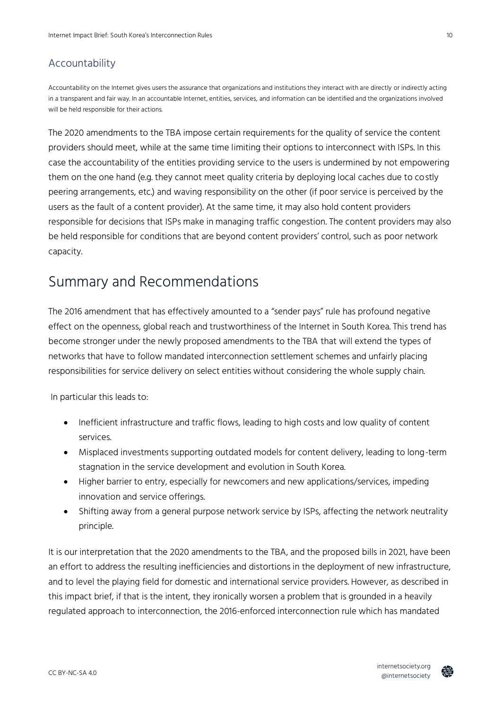### Accountability

Accountability on the Internet gives users the assurance that organizations and institutions they interact with are directly or indirectly acting in a transparent and fair way. In an accountable Internet, entities, services, and information can be identified and the organizations involved will be held responsible for their actions.

The 2020 amendments to the TBA impose certain requirements for the quality of service the content providers should meet, while at the same time limiting their options to interconnect with ISPs. In this case the accountability of the entities providing service to the users is undermined by not empowering them on the one hand (e.g. they cannot meet quality criteria by deploying local caches due to costly peering arrangements, etc.) and waving responsibility on the other (if poor service is perceived by the users as the fault of a content provider). At the same time, it may also hold content providers responsible for decisions that ISPs make in managing traffic congestion. The content providers may also be held responsible for conditions that are beyond content providers' control, such as poor network capacity.

### Summary and Recommendations

The 2016 amendment that has effectively amounted to a "sender pays" rule has profound negative effect on the openness, global reach and trustworthiness of the Internet in South Korea. This trend has become stronger under the newly proposed amendments to the TBA that will extend the types of networks that have to follow mandated interconnection settlement schemes and unfairly placing responsibilities for service delivery on select entities without considering the whole supply chain.

In particular this leads to:

- Inefficient infrastructure and traffic flows, leading to high costs and low quality of content services.
- Misplaced investments supporting outdated models for content delivery, leading to long-term stagnation in the service development and evolution in South Korea.
- Higher barrier to entry, especially for newcomers and new applications/services, impeding innovation and service offerings.
- Shifting away from a general purpose network service by ISPs, affecting the network neutrality principle.

It is our interpretation that the 2020 amendments to the TBA, and the proposed bills in 2021, have been an effort to address the resulting inefficiencies and distortions in the deployment of new infrastructure, and to level the playing field for domestic and international service providers. However, as described in this impact brief, if that is the intent, they ironically worsen a problem that is grounded in a heavily regulated approach to interconnection, the 2016-enforced interconnection rule which has mandated